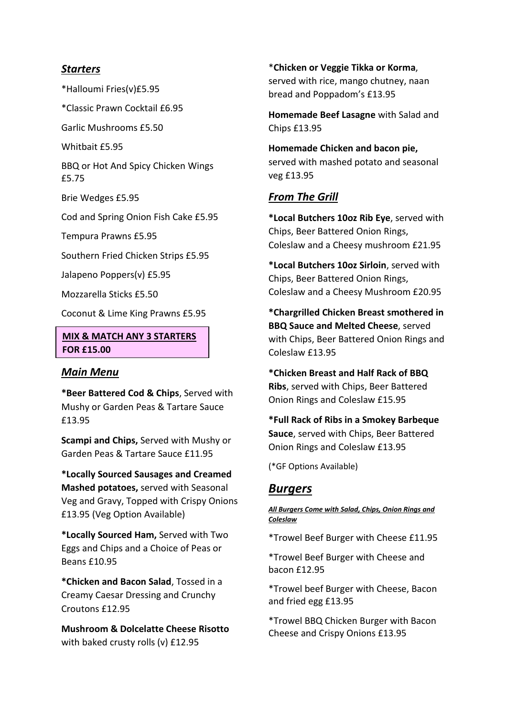## *Starters*

\*Halloumi Fries(v)£5.95

\*Classic Prawn Cocktail £6.95

Garlic Mushrooms £5.50

Whithait £5.95

BBQ or Hot And Spicy Chicken Wings £5.75

Brie Wedges £5.95

Cod and Spring Onion Fish Cake £5.95

Tempura Prawns £5.95

Southern Fried Chicken Strips £5.95

Jalapeno Poppers(v) £5.95

Mozzarella Sticks £5.50

Coconut & Lime King Prawns £5.95

## **MIX & MATCH ANY 3 STARTERS FOR £15.00**

## *Main Menu*

**\*Beer Battered Cod & Chips**, Served with Mushy or Garden Peas & Tartare Sauce £13.95

**Scampi and Chips,** Served with Mushy or Garden Peas & Tartare Sauce £11.95

**\*Locally Sourced Sausages and Creamed Mashed potatoes,** served with Seasonal Veg and Gravy, Topped with Crispy Onions £13.95 (Veg Option Available)

**\*Locally Sourced Ham,** Served with Two Eggs and Chips and a Choice of Peas or Beans £10.95

**\*Chicken and Bacon Salad**, Tossed in a Creamy Caesar Dressing and Crunchy Croutons £12.95

**Mushroom & Dolcelatte Cheese Risotto** with baked crusty rolls (v) £12.95

\***Chicken or Veggie Tikka or Korma**, served with rice, mango chutney, naan bread and Poppadom's £13.95

**Homemade Beef Lasagne** with Salad and Chips £13.95

**Homemade Chicken and bacon pie,** served with mashed potato and seasonal veg £13.95

# *From The Grill*

**\*Local Butchers 10oz Rib Eye**, served with Chips, Beer Battered Onion Rings, Coleslaw and a Cheesy mushroom £21.95

**\*Local Butchers 10oz Sirloin**, served with Chips, Beer Battered Onion Rings, Coleslaw and a Cheesy Mushroom £20.95

**\*Chargrilled Chicken Breast smothered in BBQ Sauce and Melted Cheese**, served with Chips, Beer Battered Onion Rings and Coleslaw £13.95

**\*Chicken Breast and Half Rack of BBQ Ribs**, served with Chips, Beer Battered Onion Rings and Coleslaw £15.95

**\*Full Rack of Ribs in a Smokey Barbeque Sauce**, served with Chips, Beer Battered Onion Rings and Coleslaw £13.95

(\*GF Options Available)

# *Burgers*

### *All Burgers Come with Salad, Chips, Onion Rings and Coleslaw*

\*Trowel Beef Burger with Cheese £11.95

\*Trowel Beef Burger with Cheese and bacon £12.95

\*Trowel beef Burger with Cheese, Bacon and fried egg £13.95

\*Trowel BBQ Chicken Burger with Bacon Cheese and Crispy Onions £13.95